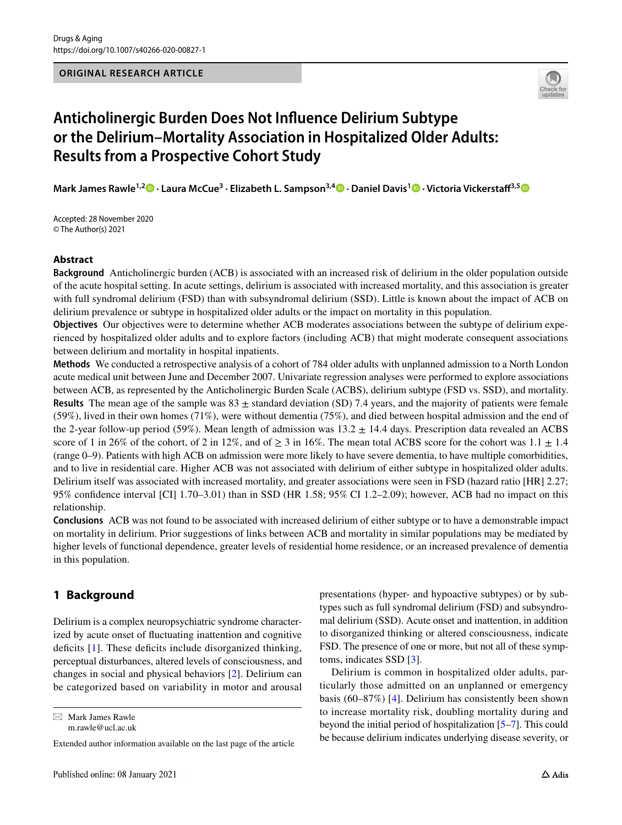

# **Anticholinergic Burden Does Not Infuence Delirium Subtype or the Delirium–Mortality Association in Hospitalized Older Adults: Results from a Prospective Cohort Study**

**Mark James Rawle1,2  [·](http://orcid.org/0000-0002-2831-6993) Laura McCue3 · Elizabeth L. Sampson3,4 · Daniel Davis1  [·](http://orcid.org/0000-0002-1560-1955) Victoria Vickerstaf3,[5](http://orcid.org/0000-0002-3119-670X)**

Accepted: 28 November 2020 © The Author(s) 2021

# **Abstract**

**Background** Anticholinergic burden (ACB) is associated with an increased risk of delirium in the older population outside of the acute hospital setting. In acute settings, delirium is associated with increased mortality, and this association is greater with full syndromal delirium (FSD) than with subsyndromal delirium (SSD). Little is known about the impact of ACB on delirium prevalence or subtype in hospitalized older adults or the impact on mortality in this population.

**Objectives** Our objectives were to determine whether ACB moderates associations between the subtype of delirium experienced by hospitalized older adults and to explore factors (including ACB) that might moderate consequent associations between delirium and mortality in hospital inpatients.

**Methods** We conducted a retrospective analysis of a cohort of 784 older adults with unplanned admission to a North London acute medical unit between June and December 2007. Univariate regression analyses were performed to explore associations between ACB, as represented by the Anticholinergic Burden Scale (ACBS), delirium subtype (FSD vs. SSD), and mortality. **Results** The mean age of the sample was  $83 \pm$  standard deviation (SD) 7.4 years, and the majority of patients were female (59%), lived in their own homes (71%), were without dementia (75%), and died between hospital admission and the end of the 2-year follow-up period (59%). Mean length of admission was  $13.2 \pm 14.4$  days. Prescription data revealed an ACBS score of 1 in 26% of the cohort, of 2 in 12%, and of  $\geq 3$  in 16%. The mean total ACBS score for the cohort was 1.1  $\pm$  1.4 (range 0–9). Patients with high ACB on admission were more likely to have severe dementia, to have multiple comorbidities, and to live in residential care. Higher ACB was not associated with delirium of either subtype in hospitalized older adults. Delirium itself was associated with increased mortality, and greater associations were seen in FSD (hazard ratio [HR] 2.27; 95% confdence interval [CI] 1.70–3.01) than in SSD (HR 1.58; 95% CI 1.2–2.09); however, ACB had no impact on this relationship.

**Conclusions** ACB was not found to be associated with increased delirium of either subtype or to have a demonstrable impact on mortality in delirium. Prior suggestions of links between ACB and mortality in similar populations may be mediated by higher levels of functional dependence, greater levels of residential home residence, or an increased prevalence of dementia in this population.

# **1 Background**

Delirium is a complex neuropsychiatric syndrome characterized by acute onset of fuctuating inattention and cognitive deficits  $[1]$  $[1]$ . These deficits include disorganized thinking, perceptual disturbances, altered levels of consciousness, and changes in social and physical behaviors [[2\]](#page-7-1). Delirium can be categorized based on variability in motor and arousal

 $\boxtimes$  Mark James Rawle m.rawle@ucl.ac.uk presentations (hyper- and hypoactive subtypes) or by subtypes such as full syndromal delirium (FSD) and subsyndromal delirium (SSD). Acute onset and inattention, in addition to disorganized thinking or altered consciousness, indicate FSD. The presence of one or more, but not all of these symptoms, indicates SSD [\[3\]](#page-7-2).

Delirium is common in hospitalized older adults, particularly those admitted on an unplanned or emergency basis (60–87%) [\[4](#page-7-3)]. Delirium has consistently been shown to increase mortality risk, doubling mortality during and beyond the initial period of hospitalization [\[5](#page-7-4)[–7](#page-7-5)]. This could be because delirium indicates underlying disease severity, or

Extended author information available on the last page of the article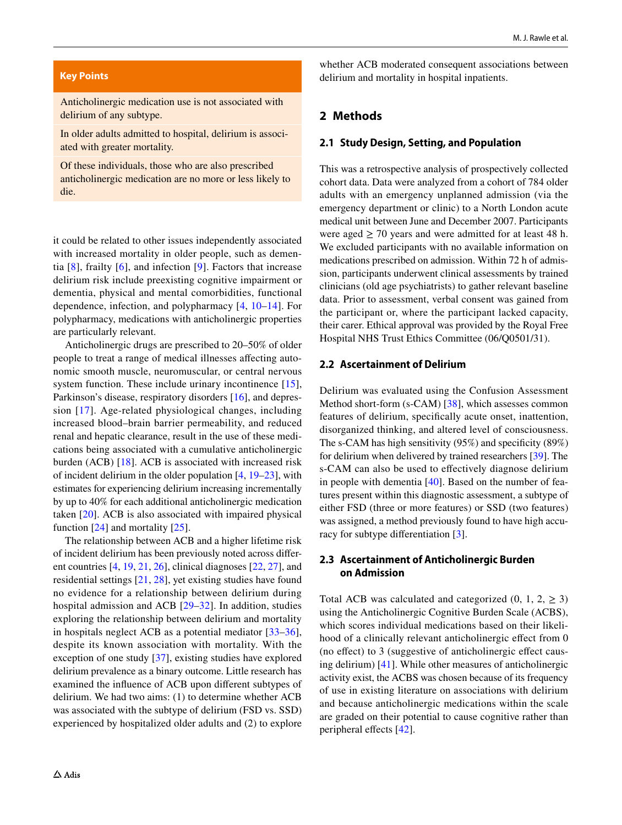#### **Key Points**

Anticholinergic medication use is not associated with delirium of any subtype.

In older adults admitted to hospital, delirium is associated with greater mortality.

Of these individuals, those who are also prescribed anticholinergic medication are no more or less likely to die.

it could be related to other issues independently associated with increased mortality in older people, such as dementia [[8](#page-7-6)], frailty [[6](#page-7-7)], and infection [[9](#page-7-8)]. Factors that increase delirium risk include preexisting cognitive impairment or dementia, physical and mental comorbidities, functional dependence, infection, and polypharmacy [[4,](#page-7-3) [10–](#page-7-9)[14](#page-7-10)]. For polypharmacy, medications with anticholinergic properties are particularly relevant.

Anticholinergic drugs are prescribed to 20–50% of older people to treat a range of medical illnesses affecting autonomic smooth muscle, neuromuscular, or central nervous system function. These include urinary incontinence [\[15](#page-7-11)], Parkinson's disease, respiratory disorders [[16\]](#page-7-12), and depression [[17](#page-7-13)]. Age-related physiological changes, including increased blood–brain barrier permeability, and reduced renal and hepatic clearance, result in the use of these medications being associated with a cumulative anticholinergic burden (ACB) [\[18\]](#page-7-14). ACB is associated with increased risk of incident delirium in the older population [\[4](#page-7-3), [19](#page-7-15)[–23](#page-8-5)], with estimates for experiencing delirium increasing incrementally by up to 40% for each additional anticholinergic medication taken [\[20](#page-8-6)]. ACB is also associated with impaired physical function [[24\]](#page-8-7) and mortality [[25\]](#page-8-8).

The relationship between ACB and a higher lifetime risk of incident delirium has been previously noted across diferent countries [[4,](#page-7-3) [19,](#page-7-15) [21](#page-8-9), [26](#page-8-10)], clinical diagnoses [[22,](#page-8-11) [27\]](#page-8-12), and residential settings [\[21](#page-8-9), [28](#page-8-13)], yet existing studies have found no evidence for a relationship between delirium during hospital admission and ACB [[29–](#page-8-14)[32](#page-8-15)]. In addition, studies exploring the relationship between delirium and mortality in hospitals neglect ACB as a potential mediator [[33–](#page-8-16)[36](#page-8-17)], despite its known association with mortality. With the exception of one study [[37\]](#page-8-18), existing studies have explored delirium prevalence as a binary outcome. Little research has examined the infuence of ACB upon diferent subtypes of delirium. We had two aims: (1) to determine whether ACB was associated with the subtype of delirium (FSD vs. SSD) experienced by hospitalized older adults and (2) to explore

whether ACB moderated consequent associations between delirium and mortality in hospital inpatients.

### **2 Methods**

#### **2.1 Study Design, Setting, and Population**

This was a retrospective analysis of prospectively collected cohort data. Data were analyzed from a cohort of 784 older adults with an emergency unplanned admission (via the emergency department or clinic) to a North London acute medical unit between June and December 2007. Participants were aged  $\geq$  70 years and were admitted for at least 48 h. We excluded participants with no available information on medications prescribed on admission. Within 72 h of admission, participants underwent clinical assessments by trained clinicians (old age psychiatrists) to gather relevant baseline data. Prior to assessment, verbal consent was gained from the participant or, where the participant lacked capacity, their carer. Ethical approval was provided by the Royal Free Hospital NHS Trust Ethics Committee (06/Q0501/31).

#### **2.2 Ascertainment of Delirium**

Delirium was evaluated using the Confusion Assessment Method short-form (s-CAM) [\[38](#page-8-0)], which assesses common features of delirium, specifcally acute onset, inattention, disorganized thinking, and altered level of consciousness. The s-CAM has high sensitivity (95%) and specifcity (89%) for delirium when delivered by trained researchers [[39\]](#page-8-1). The s-CAM can also be used to efectively diagnose delirium in people with dementia [\[40](#page-8-2)]. Based on the number of features present within this diagnostic assessment, a subtype of either FSD (three or more features) or SSD (two features) was assigned, a method previously found to have high accuracy for subtype diferentiation [[3\]](#page-7-2).

#### **2.3 Ascertainment of Anticholinergic Burden on Admission**

Total ACB was calculated and categorized  $(0, 1, 2, \ge 3)$ using the Anticholinergic Cognitive Burden Scale (ACBS), which scores individual medications based on their likelihood of a clinically relevant anticholinergic efect from 0 (no efect) to 3 (suggestive of anticholinergic efect causing delirium) [[41](#page-8-3)]. While other measures of anticholinergic activity exist, the ACBS was chosen because of its frequency of use in existing literature on associations with delirium and because anticholinergic medications within the scale are graded on their potential to cause cognitive rather than peripheral effects [[42](#page-8-4)].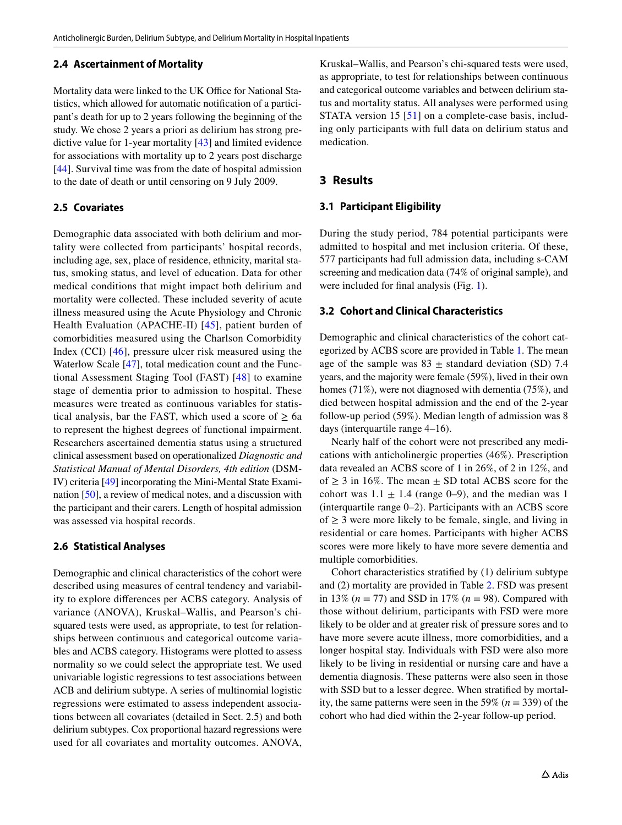#### **2.4 Ascertainment of Mortality**

Mortality data were linked to the UK Office for National Statistics, which allowed for automatic notifcation of a participant's death for up to 2 years following the beginning of the study. We chose 2 years a priori as delirium has strong predictive value for 1-year mortality [[43\]](#page-8-19) and limited evidence for associations with mortality up to 2 years post discharge [\[44](#page-8-20)]. Survival time was from the date of hospital admission to the date of death or until censoring on 9 July 2009.

### **2.5 Covariates**

Demographic data associated with both delirium and mortality were collected from participants' hospital records, including age, sex, place of residence, ethnicity, marital status, smoking status, and level of education. Data for other medical conditions that might impact both delirium and mortality were collected. These included severity of acute illness measured using the Acute Physiology and Chronic Health Evaluation (APACHE-II) [[45](#page-8-21)], patient burden of comorbidities measured using the Charlson Comorbidity Index (CCI) [\[46\]](#page-8-22), pressure ulcer risk measured using the Waterlow Scale [[47\]](#page-8-23), total medication count and the Functional Assessment Staging Tool (FAST) [[48](#page-8-24)] to examine stage of dementia prior to admission to hospital. These measures were treated as continuous variables for statistical analysis, bar the FAST, which used a score of  $\geq 6a$ to represent the highest degrees of functional impairment. Researchers ascertained dementia status using a structured clinical assessment based on operationalized *Diagnostic and Statistical Manual of Mental Disorders, 4th edition* (DSM-IV) criteria [[49](#page-8-25)] incorporating the Mini-Mental State Examination [\[50](#page-8-26)], a review of medical notes, and a discussion with the participant and their carers. Length of hospital admission was assessed via hospital records.

#### **2.6 Statistical Analyses**

Demographic and clinical characteristics of the cohort were described using measures of central tendency and variability to explore diferences per ACBS category. Analysis of variance (ANOVA), Kruskal–Wallis, and Pearson's chisquared tests were used, as appropriate, to test for relationships between continuous and categorical outcome variables and ACBS category. Histograms were plotted to assess normality so we could select the appropriate test. We used univariable logistic regressions to test associations between ACB and delirium subtype. A series of multinomial logistic regressions were estimated to assess independent associations between all covariates (detailed in Sect. 2.5) and both delirium subtypes. Cox proportional hazard regressions were used for all covariates and mortality outcomes. ANOVA, Kruskal–Wallis, and Pearson's chi-squared tests were used, as appropriate, to test for relationships between continuous and categorical outcome variables and between delirium status and mortality status. All analyses were performed using STATA version 15 [[51](#page-8-27)] on a complete-case basis, including only participants with full data on delirium status and medication.

# **3 Results**

#### **3.1 Participant Eligibility**

During the study period, 784 potential participants were admitted to hospital and met inclusion criteria. Of these, 577 participants had full admission data, including s-CAM screening and medication data (74% of original sample), and were included for fnal analysis (Fig. [1](#page-3-0)).

#### **3.2 Cohort and Clinical Characteristics**

Demographic and clinical characteristics of the cohort categorized by ACBS score are provided in Table [1.](#page-4-0) The mean age of the sample was  $83 \pm$  standard deviation (SD) 7.4 years, and the majority were female (59%), lived in their own homes (71%), were not diagnosed with dementia (75%), and died between hospital admission and the end of the 2-year follow-up period (59%). Median length of admission was 8 days (interquartile range 4–16).

Nearly half of the cohort were not prescribed any medications with anticholinergic properties (46%). Prescription data revealed an ACBS score of 1 in 26%, of 2 in 12%, and of  $\geq$  3 in 16%. The mean  $\pm$  SD total ACBS score for the cohort was  $1.1 \pm 1.4$  (range 0–9), and the median was 1 (interquartile range 0–2). Participants with an ACBS score of  $\geq$  3 were more likely to be female, single, and living in residential or care homes. Participants with higher ACBS scores were more likely to have more severe dementia and multiple comorbidities.

Cohort characteristics stratifed by (1) delirium subtype and (2) mortality are provided in Table [2](#page-5-0). FSD was present in 13% (*n* = 77) and SSD in 17% (*n* = 98). Compared with those without delirium, participants with FSD were more likely to be older and at greater risk of pressure sores and to have more severe acute illness, more comorbidities, and a longer hospital stay. Individuals with FSD were also more likely to be living in residential or nursing care and have a dementia diagnosis. These patterns were also seen in those with SSD but to a lesser degree. When stratified by mortality, the same patterns were seen in the 59%  $(n = 339)$  of the cohort who had died within the 2-year follow-up period.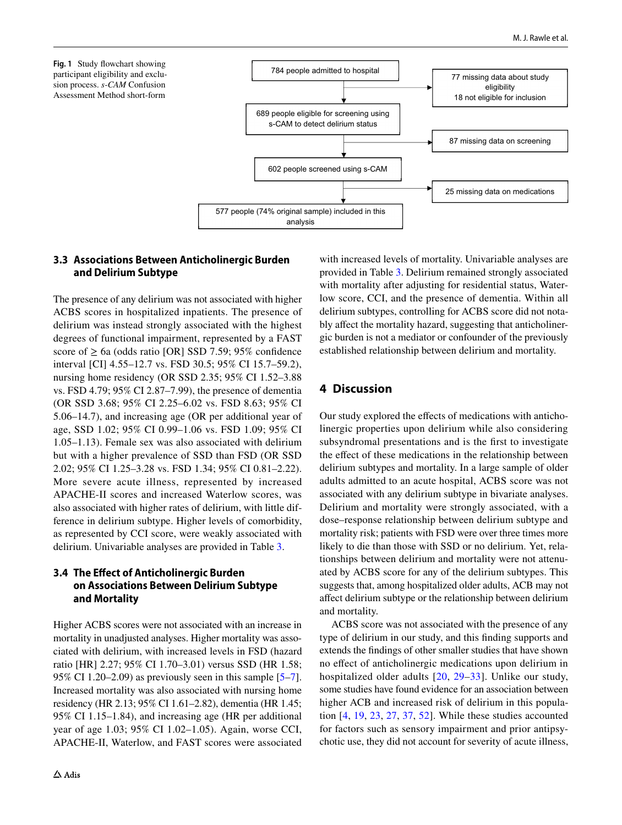<span id="page-3-0"></span>



# **3.3 Associations Between Anticholinergic Burden and Delirium Subtype**

The presence of any delirium was not associated with higher ACBS scores in hospitalized inpatients. The presence of delirium was instead strongly associated with the highest degrees of functional impairment, represented by a FAST score of  $\geq 6a$  (odds ratio [OR] SSD 7.59; 95% confidence interval [CI] 4.55–12.7 vs. FSD 30.5; 95% CI 15.7–59.2), nursing home residency (OR SSD 2.35; 95% CI 1.52–3.88 vs. FSD 4.79; 95% CI 2.87–7.99), the presence of dementia (OR SSD 3.68; 95% CI 2.25–6.02 vs. FSD 8.63; 95% CI 5.06–14.7), and increasing age (OR per additional year of age, SSD 1.02; 95% CI 0.99–1.06 vs. FSD 1.09; 95% CI 1.05–1.13). Female sex was also associated with delirium but with a higher prevalence of SSD than FSD (OR SSD 2.02; 95% CI 1.25–3.28 vs. FSD 1.34; 95% CI 0.81–2.22). More severe acute illness, represented by increased APACHE-II scores and increased Waterlow scores, was also associated with higher rates of delirium, with little difference in delirium subtype. Higher levels of comorbidity, as represented by CCI score, were weakly associated with delirium. Univariable analyses are provided in Table [3](#page-6-0).

# **3.4 The Efect of Anticholinergic Burden on Associations Between Delirium Subtype and Mortality**

Higher ACBS scores were not associated with an increase in mortality in unadjusted analyses. Higher mortality was associated with delirium, with increased levels in FSD (hazard ratio [HR] 2.27; 95% CI 1.70–3.01) versus SSD (HR 1.58; 95% CI 1.20–2.09) as previously seen in this sample [\[5](#page-7-4)[–7](#page-7-5)]. Increased mortality was also associated with nursing home residency (HR 2.13; 95% CI 1.61–2.82), dementia (HR 1.45; 95% CI 1.15–1.84), and increasing age (HR per additional year of age 1.03; 95% CI 1.02–1.05). Again, worse CCI, APACHE-II, Waterlow, and FAST scores were associated with increased levels of mortality. Univariable analyses are provided in Table [3](#page-6-0). Delirium remained strongly associated with mortality after adjusting for residential status, Waterlow score, CCI, and the presence of dementia. Within all delirium subtypes, controlling for ACBS score did not notably afect the mortality hazard, suggesting that anticholinergic burden is not a mediator or confounder of the previously established relationship between delirium and mortality.

# **4 Discussion**

Our study explored the efects of medications with anticholinergic properties upon delirium while also considering subsyndromal presentations and is the frst to investigate the effect of these medications in the relationship between delirium subtypes and mortality. In a large sample of older adults admitted to an acute hospital, ACBS score was not associated with any delirium subtype in bivariate analyses. Delirium and mortality were strongly associated, with a dose–response relationship between delirium subtype and mortality risk; patients with FSD were over three times more likely to die than those with SSD or no delirium. Yet, relationships between delirium and mortality were not attenuated by ACBS score for any of the delirium subtypes. This suggests that, among hospitalized older adults, ACB may not afect delirium subtype or the relationship between delirium and mortality.

ACBS score was not associated with the presence of any type of delirium in our study, and this fnding supports and extends the fndings of other smaller studies that have shown no efect of anticholinergic medications upon delirium in hospitalized older adults [[20](#page-8-6), [29](#page-8-14)[–33\]](#page-8-16). Unlike our study, some studies have found evidence for an association between higher ACB and increased risk of delirium in this population [\[4](#page-7-3), [19](#page-7-15), [23,](#page-8-5) [27](#page-8-12), [37,](#page-8-18) [52](#page-8-28)]. While these studies accounted for factors such as sensory impairment and prior antipsychotic use, they did not account for severity of acute illness,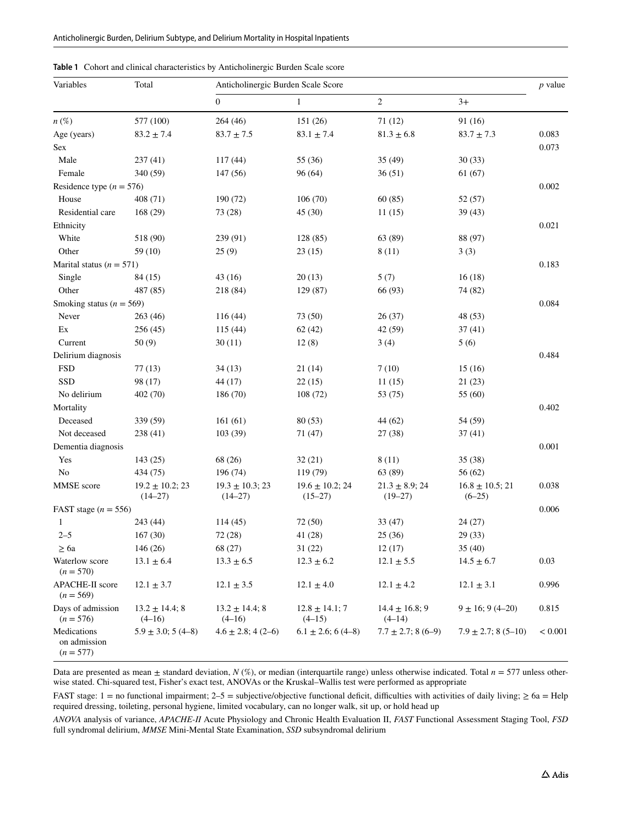| Variables                                  | Total                              | Anticholinergic Burden Scale Score  |                                   |                                 |                                 |         |
|--------------------------------------------|------------------------------------|-------------------------------------|-----------------------------------|---------------------------------|---------------------------------|---------|
|                                            |                                    | $\boldsymbol{0}$                    | $\mathbf{1}$                      | $\sqrt{2}$                      | $3+$                            |         |
| $n(\%)$                                    | 577 (100)                          | 264(46)                             | 151 (26)                          | 71(12)                          | 91 (16)                         |         |
| Age (years)                                | $83.2 \pm 7.4$                     | $83.7 \pm 7.5$                      | $83.1 \pm 7.4$                    | $81.3 \pm 6.8$                  | $83.7 \pm 7.3$                  | 0.083   |
| Sex                                        |                                    |                                     |                                   |                                 |                                 | 0.073   |
| Male                                       | 237(41)                            | 117(44)                             | 55 (36)                           | 35(49)                          | 30(33)                          |         |
| Female                                     | 340 (59)                           | 147(56)                             | 96(64)                            | 36(51)                          | 61(67)                          |         |
| Residence type ( $n = 576$ )               |                                    |                                     |                                   |                                 |                                 | 0.002   |
| House                                      | 408 (71)                           | 190 (72)                            | 106(70)                           | 60(85)                          | 52(57)                          |         |
| Residential care                           | 168(29)                            | 73 (28)                             | 45(30)                            | 11(15)                          | 39(43)                          |         |
| Ethnicity                                  |                                    |                                     |                                   |                                 |                                 | 0.021   |
| White                                      | 518 (90)                           | 239 (91)                            | 128 (85)                          | 63 (89)                         | 88 (97)                         |         |
| Other                                      | 59 (10)                            | 25(9)                               | 23(15)                            | 8(11)                           | 3(3)                            |         |
| Marital status ( $n = 571$ )               |                                    |                                     |                                   |                                 |                                 | 0.183   |
| Single                                     | 84 (15)                            | 43(16)                              | 20(13)                            | 5(7)                            | 16(18)                          |         |
| Other                                      | 487 (85)                           | 218 (84)                            | 129 (87)                          | 66 (93)                         | 74 (82)                         |         |
| Smoking status ( $n = 569$ )               |                                    |                                     |                                   |                                 |                                 | 0.084   |
| Never                                      | 263(46)                            | 116(44)                             | 73 (50)                           | 26(37)                          | 48 (53)                         |         |
| Ex                                         | 256(45)                            | 115(44)                             | 62(42)                            | 42 (59)                         | 37(41)                          |         |
| Current                                    | 50(9)                              | 30(11)                              | 12(8)                             | 3(4)                            | 5(6)                            |         |
| Delirium diagnosis                         |                                    |                                     |                                   |                                 |                                 | 0.484   |
| <b>FSD</b>                                 | 77(13)                             | 34(13)                              | 21(14)                            | 7(10)                           | 15(16)                          |         |
| SSD                                        | 98 (17)                            | 44 (17)                             | 22(15)                            | 11(15)                          | 21(23)                          |         |
| No delirium                                | 402 (70)                           | 186 (70)                            | 108(72)                           | 53 (75)                         | 55 (60)                         |         |
| Mortality                                  |                                    |                                     |                                   |                                 |                                 | 0.402   |
| Deceased                                   | 339 (59)                           | 161(61)                             | 80(53)                            | 44 (62)                         | 54 (59)                         |         |
| Not deceased                               | 238 (41)                           | 103(39)                             | 71 (47)                           | 27(38)                          | 37(41)                          |         |
| Dementia diagnosis                         |                                    |                                     |                                   |                                 |                                 | 0.001   |
| Yes                                        | 143(25)                            | 68 (26)                             | 32(21)                            | 8(11)                           | 35(38)                          |         |
| N <sub>o</sub>                             | 434 (75)                           | 196 (74)                            | 119 (79)                          | 63 (89)                         | 56(62)                          |         |
| MMSE score                                 | $19.2 \pm 10.2; 23$<br>$(14 - 27)$ | $19.3 \pm 10.3$ ; 23<br>$(14 - 27)$ | $19.6 \pm 10.2$ ; 24<br>$(15-27)$ | $21.3 \pm 8.9; 24$<br>$(19-27)$ | $16.8 \pm 10.5; 21$<br>$(6-25)$ | 0.038   |
| FAST stage ( $n = 556$ )                   |                                    |                                     |                                   |                                 |                                 | 0.006   |
| $\mathbf{1}$                               | 243 (44)                           | 114(45)                             | 72 (50)                           | 33 (47)                         | 24(27)                          |         |
| $2 - 5$                                    | 167(30)                            | 72 (28)                             | 41 (28)                           | 25(36)                          | 29(33)                          |         |
| $\geq 6a$                                  | 146(26)                            | 68 (27)                             | 31(22)                            | 12(17)                          | 35(40)                          |         |
| Waterlow score<br>$(n = 570)$              | $13.1 \pm 6.4$                     | $13.3 \pm 6.5$                      | $12.3 \pm 6.2$                    | $12.1 \pm 5.5$                  | $14.5 \pm 6.7$                  | 0.03    |
| <b>APACHE-II</b> score<br>$(n = 569)$      | $12.1 \pm 3.7$                     | $12.1 \pm 3.5$                      | $12.1 \pm 4.0$                    | $12.1 \pm 4.2$                  | $12.1 \pm 3.1$                  | 0.996   |
| Days of admission<br>$(n = 576)$           | $13.2 \pm 14.4$ ; 8<br>$(4-16)$    | $13.2 \pm 14.4$ ; 8<br>$(4-16)$     | $12.8 \pm 14.1$ ; 7<br>$(4-15)$   | $14.4 \pm 16.8; 9$<br>$(4-14)$  | $9 \pm 16$ ; 9 (4-20)           | 0.815   |
| Medications<br>on admission<br>$(n = 577)$ | $5.9 \pm 3.0$ ; 5 (4-8)            | $4.6 \pm 2.8$ ; 4 (2-6)             | $6.1 \pm 2.6$ ; 6 (4-8)           | $7.7 \pm 2.7$ ; 8 (6-9)         | $7.9 \pm 2.7$ ; 8 (5-10)        | < 0.001 |

<span id="page-4-0"></span>**Table 1** Cohort and clinical characteristics by Anticholinergic Burden Scale score

Data are presented as mean  $\pm$  standard deviation, *N* (%), or median (interquartile range) unless otherwise indicated. Total *n* = 577 unless otherwise stated. Chi-squared test, Fisher's exact test, ANOVAs or the Kruskal–Wallis test were performed as appropriate

FAST stage: 1 = no functional impairment; 2–5 = subjective/objective functional deficit, difficulties with activities of daily living;  $\geq 6a$  = Help required dressing, toileting, personal hygiene, limited vocabulary, can no longer walk, sit up, or hold head up

*ANOVA* analysis of variance, *APACHE-II* Acute Physiology and Chronic Health Evaluation II, *FAST* Functional Assessment Staging Tool, *FSD* full syndromal delirium, *MMSE* Mini-Mental State Examination, *SSD* subsyndromal delirium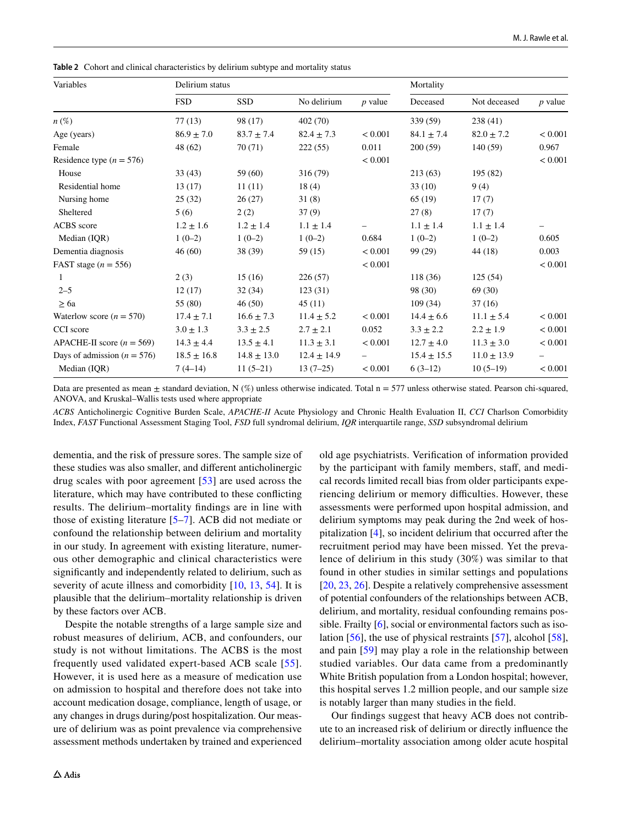<span id="page-5-0"></span>**Table 2** Cohort and clinical characteristics by delirium subtype and mortality status

| Variables                       | Delirium status |                 |                 |           | Mortality       |                 |           |
|---------------------------------|-----------------|-----------------|-----------------|-----------|-----------------|-----------------|-----------|
|                                 | <b>FSD</b>      | <b>SSD</b>      | No delirium     | $p$ value | Deceased        | Not deceased    | $p$ value |
| $n(\%)$                         | 77(13)          | 98 (17)         | 402(70)         |           | 339 (59)        | 238(41)         |           |
| Age (years)                     | $86.9 \pm 7.0$  | $83.7 \pm 7.4$  | $82.4 \pm 7.3$  | < 0.001   | $84.1 \pm 7.4$  | $82.0 \pm 7.2$  | < 0.001   |
| Female                          | 48 (62)         | 70(71)          | 222(55)         | 0.011     | 200(59)         | 140(59)         | 0.967     |
| Residence type ( $n = 576$ )    |                 |                 |                 | < 0.001   |                 |                 | < 0.001   |
| House                           | 33(43)          | 59 (60)         | 316 (79)        |           | 213(63)         | 195(82)         |           |
| Residential home                | 13(17)          | 11(11)          | 18(4)           |           | 33(10)          | 9(4)            |           |
| Nursing home                    | 25(32)          | 26(27)          | 31(8)           |           | 65 (19)         | 17(7)           |           |
| Sheltered                       | 5(6)            | 2(2)            | 37(9)           |           | 27(8)           | 17(7)           |           |
| ACBS score                      | $1.2 \pm 1.6$   | $1.2 \pm 1.4$   | $1.1 \pm 1.4$   |           | $1.1\pm1.4$     | $1.1\pm1.4$     |           |
| Median (IQR)                    | $1(0-2)$        | $1(0-2)$        | $1(0-2)$        | 0.684     | $1(0-2)$        | $1(0-2)$        | 0.605     |
| Dementia diagnosis              | 46(60)          | 38 (39)         | 59(15)          | < 0.001   | 99 (29)         | 44(18)          | 0.003     |
| FAST stage $(n = 556)$          |                 |                 |                 | < 0.001   |                 |                 | < 0.001   |
| 1                               | 2(3)            | 15(16)          | 226(57)         |           | 118(36)         | 125(54)         |           |
| $2 - 5$                         | 12(17)          | 32(34)          | 123(31)         |           | 98 (30)         | 69 (30)         |           |
| $\geq 6a$                       | 55 (80)         | 46(50)          | 45(11)          |           | 109(34)         | 37(16)          |           |
| Waterlow score ( $n = 570$ )    | $17.4 \pm 7.1$  | $16.6 \pm 7.3$  | $11.4 \pm 5.2$  | < 0.001   | $14.4 \pm 6.6$  | $11.1 \pm 5.4$  | < 0.001   |
| CCI score                       | $3.0 \pm 1.3$   | $3.3 \pm 2.5$   | $2.7 \pm 2.1$   | 0.052     | $3.3 \pm 2.2$   | $2.2 \pm 1.9$   | < 0.001   |
| APACHE-II score ( $n = 569$ )   | $14.3 \pm 4.4$  | $13.5 \pm 4.1$  | $11.3 \pm 3.1$  | < 0.001   | $12.7 \pm 4.0$  | $11.3 \pm 3.0$  | < 0.001   |
| Days of admission ( $n = 576$ ) | $18.5 \pm 16.8$ | $14.8 \pm 13.0$ | $12.4 \pm 14.9$ |           | $15.4 \pm 15.5$ | $11.0 \pm 13.9$ |           |
| Median (IQR)                    | $7(4-14)$       | $11(5-21)$      | $13(7-25)$      | < 0.001   | $6(3-12)$       | $10(5-19)$      | < 0.001   |

Data are presented as mean  $\pm$  standard deviation, N  $(\%)$  unless otherwise indicated. Total n = 577 unless otherwise stated. Pearson chi-squared, ANOVA, and Kruskal–Wallis tests used where appropriate

*ACBS* Anticholinergic Cognitive Burden Scale, *APACHE-II* Acute Physiology and Chronic Health Evaluation II, *CCI* Charlson Comorbidity Index, *FAST* Functional Assessment Staging Tool, *FSD* full syndromal delirium, *IQR* interquartile range, *SSD* subsyndromal delirium

dementia, and the risk of pressure sores. The sample size of these studies was also smaller, and diferent anticholinergic drug scales with poor agreement [[53\]](#page-8-29) are used across the literature, which may have contributed to these conficting results. The delirium–mortality fndings are in line with those of existing literature [[5–](#page-7-4)[7](#page-7-5)]. ACB did not mediate or confound the relationship between delirium and mortality in our study. In agreement with existing literature, numerous other demographic and clinical characteristics were signifcantly and independently related to delirium, such as severity of acute illness and comorbidity [\[10,](#page-7-9) [13](#page-7-16), [54\]](#page-8-30). It is plausible that the delirium–mortality relationship is driven by these factors over ACB.

Despite the notable strengths of a large sample size and robust measures of delirium, ACB, and confounders, our study is not without limitations. The ACBS is the most frequently used validated expert-based ACB scale [[55\]](#page-8-31). However, it is used here as a measure of medication use on admission to hospital and therefore does not take into account medication dosage, compliance, length of usage, or any changes in drugs during/post hospitalization. Our measure of delirium was as point prevalence via comprehensive assessment methods undertaken by trained and experienced old age psychiatrists. Verifcation of information provided by the participant with family members, staff, and medical records limited recall bias from older participants experiencing delirium or memory difficulties. However, these assessments were performed upon hospital admission, and delirium symptoms may peak during the 2nd week of hospitalization [[4\]](#page-7-3), so incident delirium that occurred after the recruitment period may have been missed. Yet the prevalence of delirium in this study (30%) was similar to that found in other studies in similar settings and populations [\[20,](#page-8-6) [23](#page-8-5), [26](#page-8-10)]. Despite a relatively comprehensive assessment of potential confounders of the relationships between ACB, delirium, and mortality, residual confounding remains possible. Frailty [[6](#page-7-7)], social or environmental factors such as isolation [\[56](#page-8-32)], the use of physical restraints [\[57](#page-8-33)], alcohol [\[58](#page-9-0)], and pain [[59](#page-9-1)] may play a role in the relationship between studied variables. Our data came from a predominantly White British population from a London hospital; however, this hospital serves 1.2 million people, and our sample size is notably larger than many studies in the feld.

Our fndings suggest that heavy ACB does not contribute to an increased risk of delirium or directly infuence the delirium–mortality association among older acute hospital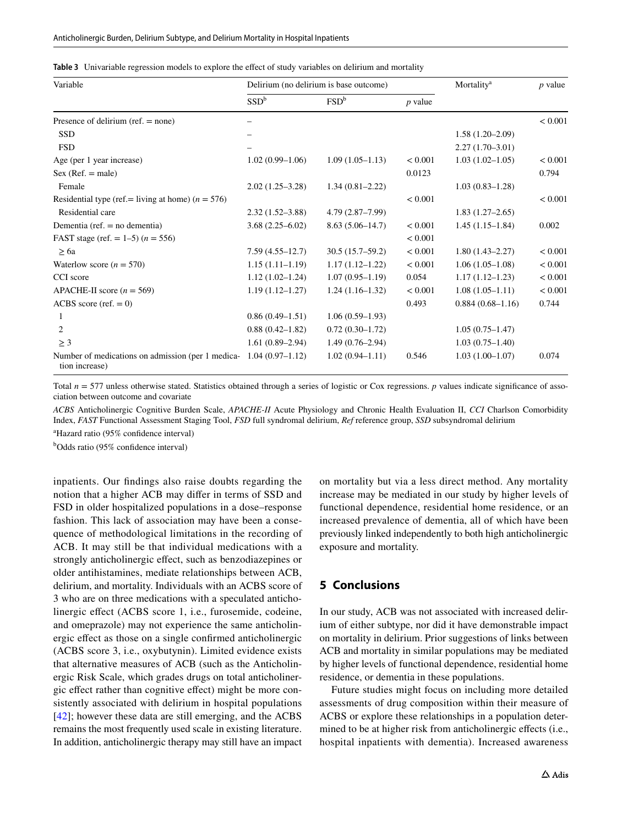<span id="page-6-0"></span>

|  | Table 3 Univariable regression models to explore the effect of study variables on delirium and mortality |  |  |  |  |  |
|--|----------------------------------------------------------------------------------------------------------|--|--|--|--|--|
|--|----------------------------------------------------------------------------------------------------------|--|--|--|--|--|

| Variable                                                                            | Delirium (no delirium is base outcome) | Mortality <sup>a</sup> | $p$ value |                     |         |
|-------------------------------------------------------------------------------------|----------------------------------------|------------------------|-----------|---------------------|---------|
|                                                                                     | SSD <sup>b</sup><br>FSD <sup>b</sup>   |                        | $p$ value |                     |         |
| Presence of delirium (ref. $=$ none)                                                |                                        |                        |           |                     | < 0.001 |
| <b>SSD</b>                                                                          |                                        |                        |           | $1.58(1.20-2.09)$   |         |
| <b>FSD</b>                                                                          |                                        |                        |           | $2.27(1.70-3.01)$   |         |
| Age (per 1 year increase)                                                           | $1.02(0.99-1.06)$                      | $1.09(1.05-1.13)$      | < 0.001   | $1.03(1.02 - 1.05)$ | < 0.001 |
| $Sex (Ref. = male)$                                                                 |                                        |                        | 0.0123    |                     | 0.794   |
| Female                                                                              | $2.02(1.25-3.28)$                      | $1.34(0.81 - 2.22)$    |           | $1.03(0.83 - 1.28)$ |         |
| Residential type (ref.= living at home) $(n = 576)$                                 |                                        |                        | < 0.001   |                     | < 0.001 |
| Residential care                                                                    | $2.32(1.52 - 3.88)$                    | $4.79(2.87 - 7.99)$    |           | $1.83(1.27-2.65)$   |         |
| Dementia (ref. $=$ no dementia)                                                     | $3.68(2.25 - 6.02)$                    | $8.63(5.06-14.7)$      | < 0.001   | $1.45(1.15-1.84)$   | 0.002   |
| FAST stage (ref. = $1-5$ ) ( $n = 556$ )                                            |                                        |                        | < 0.001   |                     |         |
| $\geq 6a$                                                                           | $7.59(4.55 - 12.7)$                    | $30.5(15.7-59.2)$      | < 0.001   | $1.80(1.43 - 2.27)$ | < 0.001 |
| Waterlow score ( $n = 570$ )                                                        | $1.15(1.11-1.19)$                      | $1.17(1.12 - 1.22)$    | < 0.001   | $1.06(1.05-1.08)$   | < 0.001 |
| CCI score                                                                           | $1.12(1.02 - 1.24)$                    | $1.07(0.95-1.19)$      | 0.054     | $1.17(1.12 - 1.23)$ | < 0.001 |
| APACHE-II score ( $n = 569$ )                                                       | $1.19(1.12 - 1.27)$                    | $1.24(1.16-1.32)$      | < 0.001   | $1.08(1.05-1.11)$   | < 0.001 |
| ACBS score (ref. $= 0$ )                                                            |                                        |                        | 0.493     | $0.884(0.68-1.16)$  | 0.744   |
|                                                                                     | $0.86(0.49-1.51)$                      | $1.06(0.59-1.93)$      |           |                     |         |
| 2                                                                                   | $0.88(0.42 - 1.82)$                    | $0.72(0.30-1.72)$      |           | $1.05(0.75 - 1.47)$ |         |
| $\geq$ 3                                                                            | $1.61(0.89 - 2.94)$                    | $1.49(0.76-2.94)$      |           | $1.03(0.75 - 1.40)$ |         |
| Number of medications on admission (per 1 medica-1.04 (0.97–1.12)<br>tion increase) |                                        | $1.02(0.94 - 1.11)$    | 0.546     | $1.03(1.00-1.07)$   | 0.074   |

Total  $n = 577$  unless otherwise stated. Statistics obtained through a series of logistic or Cox regressions. *p* values indicate significance of association between outcome and covariate

*ACBS* Anticholinergic Cognitive Burden Scale, *APACHE-II* Acute Physiology and Chronic Health Evaluation II, *CCI* Charlson Comorbidity Index, *FAST* Functional Assessment Staging Tool, *FSD* full syndromal delirium, *Ref* reference group, *SSD* subsyndromal delirium

<sup>a</sup>Hazard ratio (95% confidence interval)

<sup>b</sup>Odds ratio (95% confidence interval)

inpatients. Our fndings also raise doubts regarding the notion that a higher ACB may difer in terms of SSD and FSD in older hospitalized populations in a dose–response fashion. This lack of association may have been a consequence of methodological limitations in the recording of ACB. It may still be that individual medications with a strongly anticholinergic efect, such as benzodiazepines or older antihistamines, mediate relationships between ACB, delirium, and mortality. Individuals with an ACBS score of 3 who are on three medications with a speculated anticholinergic efect (ACBS score 1, i.e., furosemide, codeine, and omeprazole) may not experience the same anticholinergic efect as those on a single confrmed anticholinergic (ACBS score 3, i.e., oxybutynin). Limited evidence exists that alternative measures of ACB (such as the Anticholinergic Risk Scale, which grades drugs on total anticholinergic efect rather than cognitive efect) might be more consistently associated with delirium in hospital populations [\[42\]](#page-8-4); however these data are still emerging, and the ACBS remains the most frequently used scale in existing literature. In addition, anticholinergic therapy may still have an impact

on mortality but via a less direct method. Any mortality increase may be mediated in our study by higher levels of functional dependence, residential home residence, or an increased prevalence of dementia, all of which have been previously linked independently to both high anticholinergic exposure and mortality.

#### **5 Conclusions**

In our study, ACB was not associated with increased delirium of either subtype, nor did it have demonstrable impact on mortality in delirium. Prior suggestions of links between ACB and mortality in similar populations may be mediated by higher levels of functional dependence, residential home residence, or dementia in these populations.

Future studies might focus on including more detailed assessments of drug composition within their measure of ACBS or explore these relationships in a population determined to be at higher risk from anticholinergic efects (i.e., hospital inpatients with dementia). Increased awareness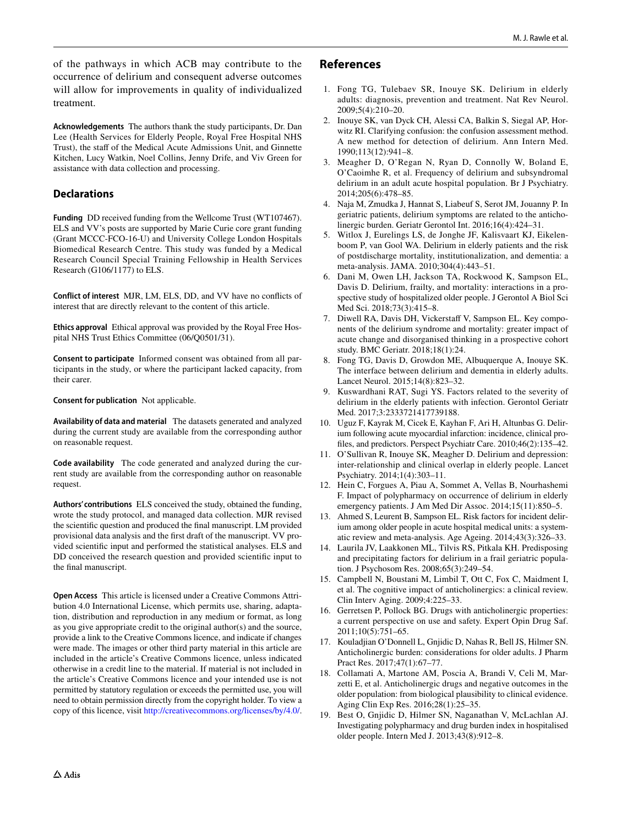of the pathways in which ACB may contribute to the occurrence of delirium and consequent adverse outcomes will allow for improvements in quality of individualized treatment.

**Acknowledgements** The authors thank the study participants, Dr. Dan Lee (Health Services for Elderly People, Royal Free Hospital NHS Trust), the staff of the Medical Acute Admissions Unit, and Ginnette Kitchen, Lucy Watkin, Noel Collins, Jenny Drife, and Viv Green for assistance with data collection and processing.

### **Declarations**

**Funding** DD received funding from the Wellcome Trust (WT107467). ELS and VV's posts are supported by Marie Curie core grant funding (Grant MCCC-FCO-16-U) and University College London Hospitals Biomedical Research Centre. This study was funded by a Medical Research Council Special Training Fellowship in Health Services Research (G106/1177) to ELS.

**Conflict of interest** MJR, LM, ELS, DD, and VV have no conficts of interest that are directly relevant to the content of this article.

**Ethics approval** Ethical approval was provided by the Royal Free Hospital NHS Trust Ethics Committee (06/Q0501/31).

**Consent to participate** Informed consent was obtained from all participants in the study, or where the participant lacked capacity, from their carer.

**Consent for publication** Not applicable.

**Availability of data and material** The datasets generated and analyzed during the current study are available from the corresponding author on reasonable request.

**Code availability** The code generated and analyzed during the current study are available from the corresponding author on reasonable request.

**Authors' contributions** ELS conceived the study, obtained the funding, wrote the study protocol, and managed data collection. MJR revised the scientifc question and produced the fnal manuscript. LM provided provisional data analysis and the frst draft of the manuscript. VV provided scientifc input and performed the statistical analyses. ELS and DD conceived the research question and provided scientifc input to the fnal manuscript.

**Open Access** This article is licensed under a Creative Commons Attribution 4.0 International License, which permits use, sharing, adaptation, distribution and reproduction in any medium or format, as long as you give appropriate credit to the original author(s) and the source, provide a link to the Creative Commons licence, and indicate if changes were made. The images or other third party material in this article are included in the article's Creative Commons licence, unless indicated otherwise in a credit line to the material. If material is not included in the article's Creative Commons licence and your intended use is not permitted by statutory regulation or exceeds the permitted use, you will need to obtain permission directly from the copyright holder. To view a copy of this licence, visit <http://creativecommons.org/licenses/by/4.0/>.

# **References**

- <span id="page-7-0"></span>1. Fong TG, Tulebaev SR, Inouye SK. Delirium in elderly adults: diagnosis, prevention and treatment. Nat Rev Neurol. 2009;5(4):210–20.
- <span id="page-7-1"></span>2. Inouye SK, van Dyck CH, Alessi CA, Balkin S, Siegal AP, Horwitz RI. Clarifying confusion: the confusion assessment method. A new method for detection of delirium. Ann Intern Med. 1990;113(12):941–8.
- <span id="page-7-2"></span>3. Meagher D, O'Regan N, Ryan D, Connolly W, Boland E, O'Caoimhe R, et al. Frequency of delirium and subsyndromal delirium in an adult acute hospital population. Br J Psychiatry. 2014;205(6):478–85.
- <span id="page-7-3"></span>4. Naja M, Zmudka J, Hannat S, Liabeuf S, Serot JM, Jouanny P. In geriatric patients, delirium symptoms are related to the anticholinergic burden. Geriatr Gerontol Int. 2016;16(4):424–31.
- <span id="page-7-4"></span>5. Witlox J, Eurelings LS, de Jonghe JF, Kalisvaart KJ, Eikelenboom P, van Gool WA. Delirium in elderly patients and the risk of postdischarge mortality, institutionalization, and dementia: a meta-analysis. JAMA. 2010;304(4):443–51.
- <span id="page-7-7"></span>6. Dani M, Owen LH, Jackson TA, Rockwood K, Sampson EL, Davis D. Delirium, frailty, and mortality: interactions in a prospective study of hospitalized older people. J Gerontol A Biol Sci Med Sci. 2018;73(3):415–8.
- <span id="page-7-5"></span>7. Diwell RA, Davis DH, Vickerstaff V, Sampson EL. Key components of the delirium syndrome and mortality: greater impact of acute change and disorganised thinking in a prospective cohort study. BMC Geriatr. 2018;18(1):24.
- <span id="page-7-6"></span>8. Fong TG, Davis D, Growdon ME, Albuquerque A, Inouye SK. The interface between delirium and dementia in elderly adults. Lancet Neurol. 2015;14(8):823–32.
- <span id="page-7-8"></span>9. Kuswardhani RAT, Sugi YS. Factors related to the severity of delirium in the elderly patients with infection. Gerontol Geriatr Med. 2017;3:2333721417739188.
- <span id="page-7-9"></span>10. Uguz F, Kayrak M, Cicek E, Kayhan F, Ari H, Altunbas G. Delirium following acute myocardial infarction: incidence, clinical profles, and predictors. Perspect Psychiatr Care. 2010;46(2):135–42.
- 11. O'Sullivan R, Inouye SK, Meagher D. Delirium and depression: inter-relationship and clinical overlap in elderly people. Lancet Psychiatry. 2014;1(4):303–11.
- 12. Hein C, Forgues A, Piau A, Sommet A, Vellas B, Nourhashemi F. Impact of polypharmacy on occurrence of delirium in elderly emergency patients. J Am Med Dir Assoc. 2014;15(11):850–5.
- <span id="page-7-16"></span>13. Ahmed S, Leurent B, Sampson EL. Risk factors for incident delirium among older people in acute hospital medical units: a systematic review and meta-analysis. Age Ageing. 2014;43(3):326–33.
- <span id="page-7-10"></span>14. Laurila JV, Laakkonen ML, Tilvis RS, Pitkala KH. Predisposing and precipitating factors for delirium in a frail geriatric population. J Psychosom Res. 2008;65(3):249–54.
- <span id="page-7-11"></span>15. Campbell N, Boustani M, Limbil T, Ott C, Fox C, Maidment I, et al. The cognitive impact of anticholinergics: a clinical review. Clin Interv Aging. 2009;4:225–33.
- <span id="page-7-12"></span>16. Gerretsen P, Pollock BG. Drugs with anticholinergic properties: a current perspective on use and safety. Expert Opin Drug Saf. 2011;10(5):751–65.
- <span id="page-7-13"></span>17. Kouladjian O'Donnell L, Gnjidic D, Nahas R, Bell JS, Hilmer SN. Anticholinergic burden: considerations for older adults. J Pharm Pract Res. 2017;47(1):67–77.
- <span id="page-7-14"></span>18. Collamati A, Martone AM, Poscia A, Brandi V, Celi M, Marzetti E, et al. Anticholinergic drugs and negative outcomes in the older population: from biological plausibility to clinical evidence. Aging Clin Exp Res. 2016;28(1):25–35.
- <span id="page-7-15"></span>19. Best O, Gnjidic D, Hilmer SN, Naganathan V, McLachlan AJ. Investigating polypharmacy and drug burden index in hospitalised older people. Intern Med J. 2013;43(8):912–8.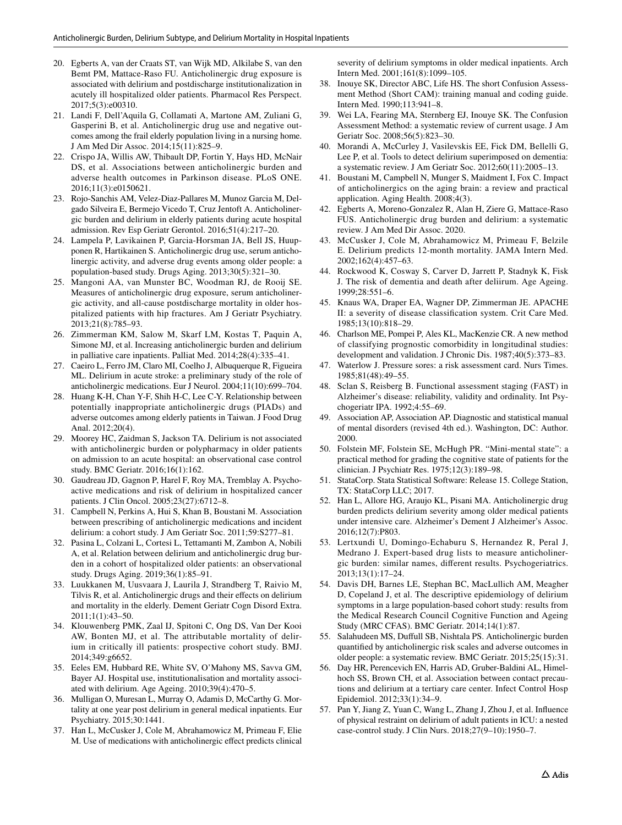- <span id="page-8-6"></span>20. Egberts A, van der Craats ST, van Wijk MD, Alkilabe S, van den Bemt PM, Mattace-Raso FU. Anticholinergic drug exposure is associated with delirium and postdischarge institutionalization in acutely ill hospitalized older patients. Pharmacol Res Perspect. 2017;5(3):e00310.
- <span id="page-8-9"></span>21. Landi F, Dell'Aquila G, Collamati A, Martone AM, Zuliani G, Gasperini B, et al. Anticholinergic drug use and negative outcomes among the frail elderly population living in a nursing home. J Am Med Dir Assoc. 2014;15(11):825–9.
- <span id="page-8-11"></span>22. Crispo JA, Willis AW, Thibault DP, Fortin Y, Hays HD, McNair DS, et al. Associations between anticholinergic burden and adverse health outcomes in Parkinson disease. PLoS ONE. 2016;11(3):e0150621.
- <span id="page-8-5"></span>23. Rojo-Sanchis AM, Velez-Diaz-Pallares M, Munoz Garcia M, Delgado Silveira E, Bermejo Vicedo T, Cruz Jentoft A. Anticholinergic burden and delirium in elderly patients during acute hospital admission. Rev Esp Geriatr Gerontol. 2016;51(4):217–20.
- <span id="page-8-7"></span>24. Lampela P, Lavikainen P, Garcia-Horsman JA, Bell JS, Huupponen R, Hartikainen S. Anticholinergic drug use, serum anticholinergic activity, and adverse drug events among older people: a population-based study. Drugs Aging. 2013;30(5):321–30.
- <span id="page-8-8"></span>25. Mangoni AA, van Munster BC, Woodman RJ, de Rooij SE. Measures of anticholinergic drug exposure, serum anticholinergic activity, and all-cause postdischarge mortality in older hospitalized patients with hip fractures. Am J Geriatr Psychiatry. 2013;21(8):785–93.
- <span id="page-8-10"></span>26. Zimmerman KM, Salow M, Skarf LM, Kostas T, Paquin A, Simone MJ, et al. Increasing anticholinergic burden and delirium in palliative care inpatients. Palliat Med. 2014;28(4):335–41.
- <span id="page-8-12"></span>27. Caeiro L, Ferro JM, Claro MI, Coelho J, Albuquerque R, Figueira ML. Delirium in acute stroke: a preliminary study of the role of anticholinergic medications. Eur J Neurol. 2004;11(10):699–704.
- <span id="page-8-13"></span>28. Huang K-H, Chan Y-F, Shih H-C, Lee C-Y. Relationship between potentially inappropriate anticholinergic drugs (PIADs) and adverse outcomes among elderly patients in Taiwan. J Food Drug Anal. 2012;20(4).
- <span id="page-8-14"></span>29. Moorey HC, Zaidman S, Jackson TA. Delirium is not associated with anticholinergic burden or polypharmacy in older patients on admission to an acute hospital: an observational case control study. BMC Geriatr. 2016;16(1):162.
- 30. Gaudreau JD, Gagnon P, Harel F, Roy MA, Tremblay A. Psychoactive medications and risk of delirium in hospitalized cancer patients. J Clin Oncol. 2005;23(27):6712–8.
- 31. Campbell N, Perkins A, Hui S, Khan B, Boustani M. Association between prescribing of anticholinergic medications and incident delirium: a cohort study. J Am Geriatr Soc. 2011;59:S277–81.
- <span id="page-8-15"></span>32. Pasina L, Colzani L, Cortesi L, Tettamanti M, Zambon A, Nobili A, et al. Relation between delirium and anticholinergic drug burden in a cohort of hospitalized older patients: an observational study. Drugs Aging. 2019;36(1):85–91.
- <span id="page-8-16"></span>33. Luukkanen M, Uusvaara J, Laurila J, Strandberg T, Raivio M, Tilvis R, et al. Anticholinergic drugs and their effects on delirium and mortality in the elderly. Dement Geriatr Cogn Disord Extra. 2011;1(1):43–50.
- 34. Klouwenberg PMK, Zaal IJ, Spitoni C, Ong DS, Van Der Kooi AW, Bonten MJ, et al. The attributable mortality of delirium in critically ill patients: prospective cohort study. BMJ. 2014;349:g6652.
- 35. Eeles EM, Hubbard RE, White SV, O'Mahony MS, Savva GM, Bayer AJ. Hospital use, institutionalisation and mortality associated with delirium. Age Ageing. 2010;39(4):470–5.
- <span id="page-8-17"></span>36. Mulligan O, Muresan L, Murray O, Adamis D, McCarthy G. Mortality at one year post delirium in general medical inpatients. Eur Psychiatry. 2015;30:1441.
- <span id="page-8-18"></span>37. Han L, McCusker J, Cole M, Abrahamowicz M, Primeau F, Elie M. Use of medications with anticholinergic efect predicts clinical

severity of delirium symptoms in older medical inpatients. Arch Intern Med. 2001;161(8):1099–105.

- <span id="page-8-0"></span>38. Inouye SK, Director ABC, Life HS. The short Confusion Assessment Method (Short CAM): training manual and coding guide. Intern Med. 1990;113:941–8.
- <span id="page-8-1"></span>39. Wei LA, Fearing MA, Sternberg EJ, Inouye SK. The Confusion Assessment Method: a systematic review of current usage. J Am Geriatr Soc. 2008;56(5):823–30.
- <span id="page-8-2"></span>40. Morandi A, McCurley J, Vasilevskis EE, Fick DM, Bellelli G, Lee P, et al. Tools to detect delirium superimposed on dementia: a systematic review. J Am Geriatr Soc. 2012;60(11):2005–13.
- <span id="page-8-3"></span>41. Boustani M, Campbell N, Munger S, Maidment I, Fox C. Impact of anticholinergics on the aging brain: a review and practical application. Aging Health. 2008;4(3).
- <span id="page-8-4"></span>42. Egberts A, Moreno-Gonzalez R, Alan H, Ziere G, Mattace-Raso FUS. Anticholinergic drug burden and delirium: a systematic review. J Am Med Dir Assoc. 2020.
- <span id="page-8-19"></span>43. McCusker J, Cole M, Abrahamowicz M, Primeau F, Belzile E. Delirium predicts 12-month mortality. JAMA Intern Med. 2002;162(4):457–63.
- <span id="page-8-20"></span>44. Rockwood K, Cosway S, Carver D, Jarrett P, Stadnyk K, Fisk J. The risk of dementia and death after deliirum. Age Ageing. 1999;28:551–6.
- <span id="page-8-21"></span>45. Knaus WA, Draper EA, Wagner DP, Zimmerman JE. APACHE II: a severity of disease classifcation system. Crit Care Med. 1985;13(10):818–29.
- <span id="page-8-22"></span>46. Charlson ME, Pompei P, Ales KL, MacKenzie CR. A new method of classifying prognostic comorbidity in longitudinal studies: development and validation. J Chronic Dis. 1987;40(5):373–83.
- <span id="page-8-23"></span>47. Waterlow J. Pressure sores: a risk assessment card. Nurs Times. 1985;81(48):49–55.
- <span id="page-8-24"></span>48. Sclan S, Reisberg B. Functional assessment staging (FAST) in Alzheimer's disease: reliability, validity and ordinality. Int Psychogeriatr IPA. 1992;4:55–69.
- <span id="page-8-25"></span>49. Association AP, Association AP. Diagnostic and statistical manual of mental disorders (revised 4th ed.). Washington, DC: Author. 2000.
- <span id="page-8-26"></span>50. Folstein MF, Folstein SE, McHugh PR. "Mini-mental state": a practical method for grading the cognitive state of patients for the clinician. J Psychiatr Res. 1975;12(3):189–98.
- <span id="page-8-27"></span>51. StataCorp. Stata Statistical Software: Release 15. College Station, TX: StataCorp LLC; 2017.
- <span id="page-8-28"></span>52. Han L, Allore HG, Araujo KL, Pisani MA. Anticholinergic drug burden predicts delirium severity among older medical patients under intensive care. Alzheimer's Dement J Alzheimer's Assoc. 2016;12(7):P803.
- <span id="page-8-29"></span>53. Lertxundi U, Domingo-Echaburu S, Hernandez R, Peral J, Medrano J. Expert-based drug lists to measure anticholinergic burden: similar names, diferent results. Psychogeriatrics. 2013;13(1):17–24.
- <span id="page-8-30"></span>54. Davis DH, Barnes LE, Stephan BC, MacLullich AM, Meagher D, Copeland J, et al. The descriptive epidemiology of delirium symptoms in a large population-based cohort study: results from the Medical Research Council Cognitive Function and Ageing Study (MRC CFAS). BMC Geriatr. 2014;14(1):87.
- <span id="page-8-31"></span>55. Salahudeen MS, Dufull SB, Nishtala PS. Anticholinergic burden quantifed by anticholinergic risk scales and adverse outcomes in older people: a systematic review. BMC Geriatr. 2015;25(15):31.
- <span id="page-8-32"></span>56. Day HR, Perencevich EN, Harris AD, Gruber-Baldini AL, Himelhoch SS, Brown CH, et al. Association between contact precautions and delirium at a tertiary care center. Infect Control Hosp Epidemiol. 2012;33(1):34–9.
- <span id="page-8-33"></span>57. Pan Y, Jiang Z, Yuan C, Wang L, Zhang J, Zhou J, et al. Infuence of physical restraint on delirium of adult patients in ICU: a nested case-control study. J Clin Nurs. 2018;27(9–10):1950–7.